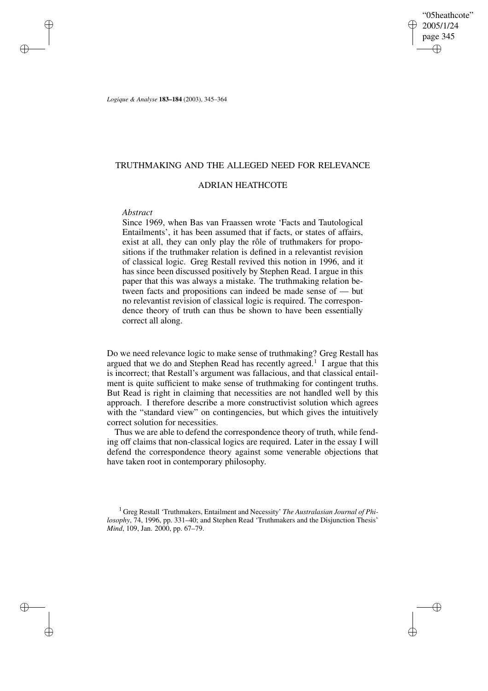"05heathcote" 2005/1/24 page 345 ✐ ✐

✐

✐

*Logique & Analyse* **183–184** (2003), 345–364

## TRUTHMAKING AND THE ALLEGED NEED FOR RELEVANCE

### ADRIAN HEATHCOTE

## *Abstract*

✐

✐

✐

✐

Since 1969, when Bas van Fraassen wrote 'Facts and Tautological Entailments', it has been assumed that if facts, or states of affairs, exist at all, they can only play the rôle of truthmakers for propositions if the truthmaker relation is defined in a relevantist revision of classical logic. Greg Restall revived this notion in 1996, and it has since been discussed positively by Stephen Read. I argue in this paper that this was always a mistake. The truthmaking relation between facts and propositions can indeed be made sense of — but no relevantist revision of classical logic is required. The correspondence theory of truth can thus be shown to have been essentially correct all along.

Do we need relevance logic to make sense of truthmaking? Greg Restall has argued that we do and Stephen Read has recently agreed.<sup>1</sup> I argue that this is incorrect; that Restall's argument was fallacious, and that classical entailment is quite sufficient to make sense of truthmaking for contingent truths. But Read is right in claiming that necessities are not handled well by this approach. I therefore describe a more constructivist solution which agrees with the "standard view" on contingencies, but which gives the intuitively correct solution for necessities.

Thus we are able to defend the correspondence theory of truth, while fending off claims that non-classical logics are required. Later in the essay I will defend the correspondence theory against some venerable objections that have taken root in contemporary philosophy.

<sup>1</sup> Greg Restall 'Truthmakers, Entailment and Necessity' *The Australasian Journal of Philosophy*, 74, 1996, pp. 331–40; and Stephen Read 'Truthmakers and the Disjunction Thesis' *Mind*, 109, Jan. 2000, pp. 67–79.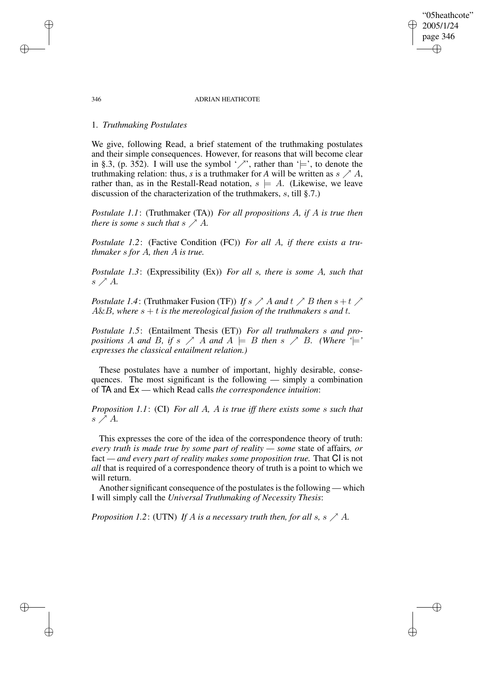"05heathcote" 2005/1/24 page 346

✐

✐

✐

✐

## 1. *Truthmaking Postulates*

We give, following Read, a brief statement of the truthmaking postulates and their simple consequences. However, for reasons that will become clear in §.3, (p. 352). I will use the symbol ' $\nearrow$ ', rather than ' $\models'$ , to denote the truthmaking relation: thus, *s* is a truthmaker for *A* will be written as  $s \nearrow A$ , rather than, as in the Restall-Read notation,  $s \models A$ . (Likewise, we leave discussion of the characterization of the truthmakers, s, till §.7.)

*Postulate 1.1*: (Truthmaker (TA)) *For all propositions* A*, if* A *is true then there is some s such that*  $s \nearrow A$ *.* 

*Postulate 1.2*: (Factive Condition (FC)) *For all* A*, if there exists a truthmaker* s *for* A*, then* A *is true.*

*Postulate 1.3*: (Expressibility (Ex)) *For all* s*, there is some* A*, such that*  $s \nearrow A$ .

*Postulate* 1.4: (Truthmaker Fusion (TF)) If  $s \nearrow A$  and  $t \nearrow B$  then  $s + t \nearrow$  $A\&B$ , where  $s + t$  *is the mereological fusion of the truthmakers s and t.* 

*Postulate 1.5*: (Entailment Thesis (ET)) *For all truthmakers* s *and propositions* A and B, if s  $\nearrow$  A and  $A \models B$  then s  $\nearrow$  B. (Where  $\lq \models$ ' *expresses the classical entailment relation.)*

These postulates have a number of important, highly desirable, consequences. The most significant is the following — simply a combination of TA and Ex — which Read calls *the correspondence intuition*:

*Proposition 1.1*: (CI) *For all* A*,* A *is true iff there exists some* s *such that*  $s \nearrow A$ .

This expresses the core of the idea of the correspondence theory of truth: *every truth is made true by some part of reality — some* state of affairs*, or* fact *— and every part of reality makes some proposition true.* That CI is not *all* that is required of a correspondence theory of truth is a point to which we will return.

Another significant consequence of the postulates is the following — which I will simply call the *Universal Truthmaking of Necessity Thesis*:

*Proposition* 1.2: (UTN) If A is a necessary truth then, for all s, s  $\nearrow$  A.

✐

✐

✐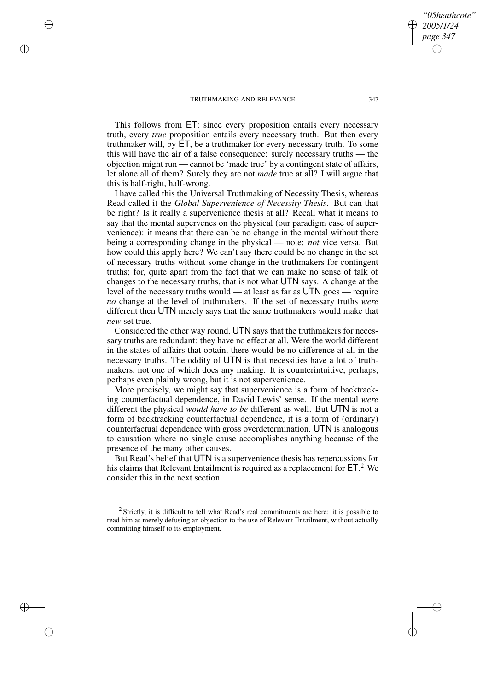✐

✐

✐

✐

This follows from ET: since every proposition entails every necessary truth, every *true* proposition entails every necessary truth. But then every truthmaker will, by ET, be a truthmaker for every necessary truth. To some this will have the air of a false consequence: surely necessary truths — the objection might run — cannot be 'made true' by a contingent state of affairs, let alone all of them? Surely they are not *made* true at all? I will argue that this is half-right, half-wrong.

I have called this the Universal Truthmaking of Necessity Thesis, whereas Read called it the *Global Supervenience of Necessity Thesis*. But can that be right? Is it really a supervenience thesis at all? Recall what it means to say that the mental supervenes on the physical (our paradigm case of supervenience): it means that there can be no change in the mental without there being a corresponding change in the physical — note: *not* vice versa. But how could this apply here? We can't say there could be no change in the set of necessary truths without some change in the truthmakers for contingent truths; for, quite apart from the fact that we can make no sense of talk of changes to the necessary truths, that is not what UTN says. A change at the level of the necessary truths would — at least as far as UTN goes — require *no* change at the level of truthmakers. If the set of necessary truths *were* different then UTN merely says that the same truthmakers would make that *new* set true.

Considered the other way round, UTN says that the truthmakers for necessary truths are redundant: they have no effect at all. Were the world different in the states of affairs that obtain, there would be no difference at all in the necessary truths. The oddity of UTN is that necessities have a lot of truthmakers, not one of which does any making. It is counterintuitive, perhaps, perhaps even plainly wrong, but it is not supervenience.

More precisely, we might say that supervenience is a form of backtracking counterfactual dependence, in David Lewis' sense. If the mental *were* different the physical *would have to be* different as well. But UTN is not a form of backtracking counterfactual dependence, it is a form of (ordinary) counterfactual dependence with gross overdetermination. UTN is analogous to causation where no single cause accomplishes anything because of the presence of the many other causes.

But Read's belief that UTN is a supervenience thesis has repercussions for his claims that Relevant Entailment is required as a replacement for ET. <sup>2</sup> We consider this in the next section.

*"05heathcote" 2005/1/24 page 347*

✐

✐

✐

 $2$  Strictly, it is difficult to tell what Read's real commitments are here: it is possible to read him as merely defusing an objection to the use of Relevant Entailment, without actually committing himself to its employment.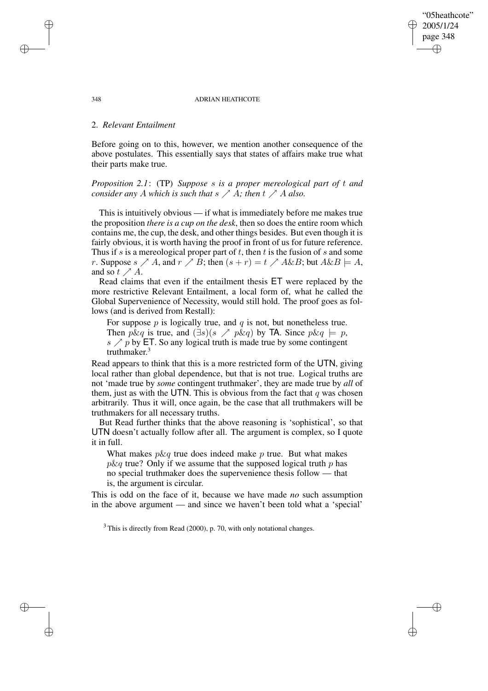"05heathcote" 2005/1/24 page 348

✐

✐

✐

✐

## 2. *Relevant Entailment*

Before going on to this, however, we mention another consequence of the above postulates. This essentially says that states of affairs make true what their parts make true.

*Proposition 2.1*: (TP) *Suppose* s *is a proper mereological part of* t *and consider any* A *which is such that*  $s \nearrow A$ *; then*  $t \nearrow A$  *also.* 

This is intuitively obvious — if what is immediately before me makes true the proposition *there is a cup on the desk*, then so does the entire room which contains me, the cup, the desk, and other things besides. But even though it is fairly obvious, it is worth having the proof in front of us for future reference. Thus if s is a mereological proper part of  $t$ , then  $t$  is the fusion of  $s$  and some r. Suppose  $s \nearrow A$ , and  $r \nearrow B$ ; then  $(s + r) = t \nearrow A \& B$ ; but  $A \& B \models A$ , and so  $t \nearrow A$ .

Read claims that even if the entailment thesis ET were replaced by the more restrictive Relevant Entailment, a local form of, what he called the Global Supervenience of Necessity, would still hold. The proof goes as follows (and is derived from Restall):

For suppose  $p$  is logically true, and  $q$  is not, but nonetheless true. Then p&q is true, and  $(\exists s)(s \nearrow p \& q)$  by TA. Since  $p \& q \models p$ ,  $s \nearrow p$  by ET. So any logical truth is made true by some contingent truthmaker. 3

Read appears to think that this is a more restricted form of the UTN, giving local rather than global dependence, but that is not true. Logical truths are not 'made true by *some* contingent truthmaker', they are made true by *all* of them, just as with the UTN. This is obvious from the fact that q was chosen arbitrarily. Thus it will, once again, be the case that all truthmakers will be truthmakers for all necessary truths.

But Read further thinks that the above reasoning is 'sophistical', so that UTN doesn't actually follow after all. The argument is complex, so I quote it in full.

What makes  $p\&q$  true does indeed make p true. But what makes  $p\&q$  true? Only if we assume that the supposed logical truth p has no special truthmaker does the supervenience thesis follow — that is, the argument is circular.

This is odd on the face of it, because we have made *no* such assumption in the above argument — and since we haven't been told what a 'special'

 $3$  This is directly from Read (2000), p. 70, with only notational changes.

✐

✐

✐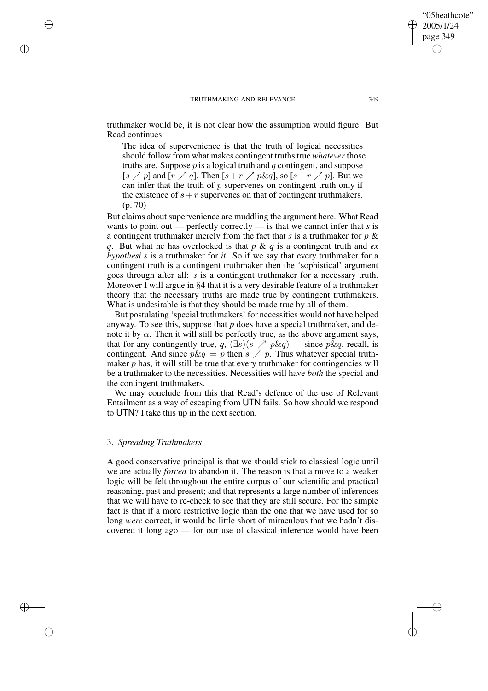✐

✐

truthmaker would be, it is not clear how the assumption would figure. But Read continues

The idea of supervenience is that the truth of logical necessities should follow from what makes contingent truths true *whatever* those truths are. Suppose  $p$  is a logical truth and  $q$  contingent, and suppose [s  $\nearrow$  p] and [r  $\nearrow$  q]. Then [s + r  $\nearrow$  p&q], so [s + r  $\nearrow$  p]. But we can infer that the truth of  $p$  supervenes on contingent truth only if the existence of  $s + r$  supervenes on that of contingent truthmakers. (p. 70)

But claims about supervenience are muddling the argument here. What Read wants to point out — perfectly correctly — is that we cannot infer that *s* is a contingent truthmaker merely from the fact that *s* is a truthmaker for *p* & *q*. But what he has overlooked is that *p* & *q* is a contingent truth and *ex hypothesi s* is a truthmaker for *it*. So if we say that every truthmaker for a contingent truth is a contingent truthmaker then the 'sophistical' argument goes through after all: *s* is a contingent truthmaker for a necessary truth. Moreover I will argue in §4 that it is a very desirable feature of a truthmaker theory that the necessary truths are made true by contingent truthmakers. What is undesirable is that they should be made true by all of them.

But postulating 'special truthmakers' for necessities would not have helped anyway. To see this, suppose that *p* does have a special truthmaker, and denote it by  $\alpha$ . Then it will still be perfectly true, as the above argument says, that for any contingently true,  $q$ ,  $(\exists s)(s \nearrow p \& q)$  — since  $p \& q$ , recall, is contingent. And since  $p\&q \models p$  then  $s \nearrow p$ . Thus whatever special truthmaker  $p$  has, it will still be true that every truthmaker for contingencies will be a truthmaker to the necessities. Necessities will have *both* the special and the contingent truthmakers.

We may conclude from this that Read's defence of the use of Relevant Entailment as a way of escaping from UTN fails. So how should we respond to UTN? I take this up in the next section.

## 3. *Spreading Truthmakers*

✐

✐

✐

✐

A good conservative principal is that we should stick to classical logic until we are actually *forced* to abandon it. The reason is that a move to a weaker logic will be felt throughout the entire corpus of our scientific and practical reasoning, past and present; and that represents a large number of inferences that we will have to re-check to see that they are still secure. For the simple fact is that if a more restrictive logic than the one that we have used for so long were correct, it would be little short of miraculous that we hadn't discovered it long ago — for our use of classical inference would have been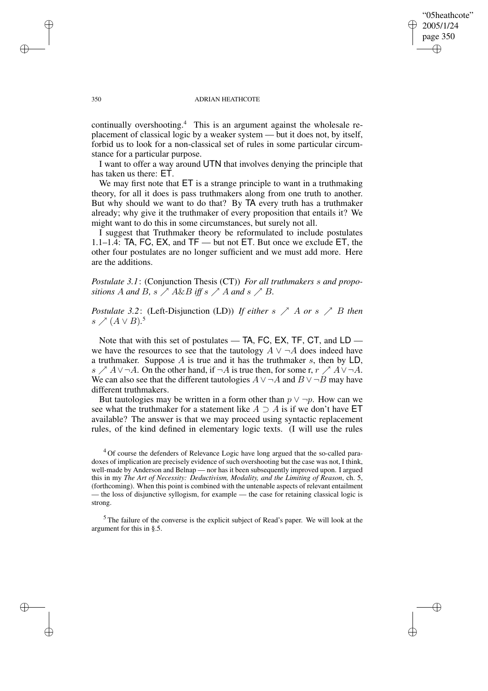## "05heathcote" 2005/1/24 page 350 ✐ ✐

✐

✐

#### 350 ADRIAN HEATHCOTE

continually overshooting.<sup>4</sup> This is an argument against the wholesale replacement of classical logic by a weaker system — but it does not, by itself, forbid us to look for a non-classical set of rules in some particular circumstance for a particular purpose.

I want to offer a way around UTN that involves denying the principle that has taken us there: ET.

We may first note that  $ET$  is a strange principle to want in a truthmaking theory, for all it does is pass truthmakers along from one truth to another. But why should we want to do that? By TA every truth has a truthmaker already; why give it the truthmaker of every proposition that entails it? We might want to do this in some circumstances, but surely not all.

I suggest that Truthmaker theory be reformulated to include postulates 1.1–1.4: TA, FC, EX, and TF — but not ET. But once we exclude ET, the other four postulates are no longer sufficient and we must add more. Here are the additions.

*Postulate 3.1*: (Conjunction Thesis (CT)) *For all truthmakers* s *and propositions* A *and* B,  $s \nearrow A \& B$  *iff*  $s \nearrow A$  *and*  $s \nearrow B$ *.* 

*Postulate* 3.2: (Left-Disjunction (LD)) *If either* s  $\nearrow$  *A or* s  $\nearrow$  *B then* s  $\varnothing$  (A ∨ B).<sup>5</sup>

Note that with this set of postulates — TA, FC, EX, TF, CT, and LD we have the resources to see that the tautology  $A \vee \neg A$  does indeed have a truthmaker. Suppose  $A$  is true and it has the truthmaker  $s$ , then by LD, s  $\triangle A \vee \neg A$ . On the other hand, if  $\neg A$  is true then, for some r,  $r \triangle A \vee \neg A$ . We can also see that the different tautologies  $A \vee \neg A$  and  $B \vee \neg B$  may have different truthmakers.

But tautologies may be written in a form other than  $p \vee \neg p$ . How can we see what the truthmaker for a statement like  $A \supset A$  is if we don't have ET available? The answer is that we may proceed using syntactic replacement rules, of the kind defined in elementary logic texts. (I will use the rules

<sup>5</sup> The failure of the converse is the explicit subject of Read's paper. We will look at the argument for this in §.5.

✐

✐

✐

<sup>&</sup>lt;sup>4</sup> Of course the defenders of Relevance Logic have long argued that the so-called paradoxes of implication are precisely evidence of such overshooting but the case was not, I think, well-made by Anderson and Belnap — nor has it been subsequently improved upon. I argued this in my *The Art of Necessity: Deductivism, Modality, and the Limiting of Reason*, ch. 5, (forthcoming). When this point is combined with the untenable aspects of relevant entailment — the loss of disjunctive syllogism, for example — the case for retaining classical logic is strong.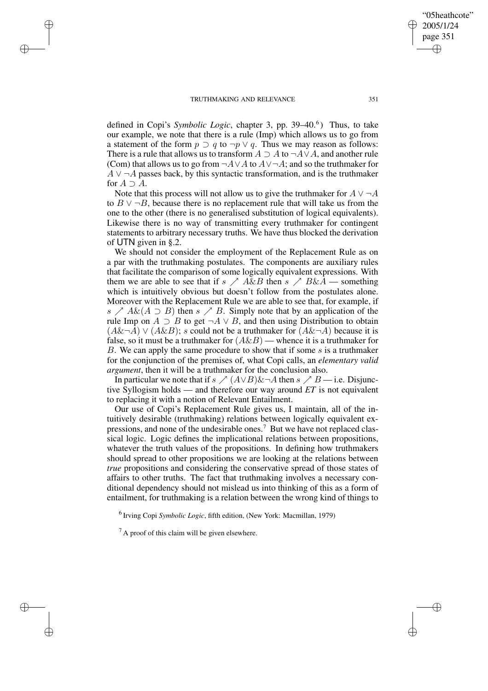✐

✐

✐

✐

defined in Copi's *Symbolic Logic*, chapter 3, pp. 39–40.<sup>6</sup>) Thus, to take our example, we note that there is a rule (Imp) which allows us to go from a statement of the form  $p \supset q$  to  $\neg p \lor q$ . Thus we may reason as follows: There is a rule that allows us to transform  $A \supseteq A$  to  $\neg A \vee A$ , and another rule (Com) that allows us to go from  $\neg A \lor A$  to  $A \lor \neg A$ ; and so the truthmaker for  $A \vee \neg A$  passes back, by this syntactic transformation, and is the truthmaker for  $A \supset A$ .

Note that this process will not allow us to give the truthmaker for  $A \vee \neg A$ to  $B \vee \neg B$ , because there is no replacement rule that will take us from the one to the other (there is no generalised substitution of logical equivalents). Likewise there is no way of transmitting every truthmaker for contingent statements to arbitrary necessary truths. We have thus blocked the derivation of UTN given in §.2.

We should not consider the employment of the Replacement Rule as on a par with the truthmaking postulates. The components are auxiliary rules that facilitate the comparison of some logically equivalent expressions. With them we are able to see that if  $s \nearrow A \& B$  then  $s \nearrow B \& A$  — something which is intuitively obvious but doesn't follow from the postulates alone. Moreover with the Replacement Rule we are able to see that, for example, if s  $\triangle A\&$ ( $A \supset B$ ) then s  $\triangle B$ . Simply note that by an application of the rule Imp on  $A \supset B$  to get  $\neg A \lor B$ , and then using Distribution to obtain  $(A\&\neg A) \vee (A\&B)$ ; s could not be a truthmaker for  $(A\&\neg A)$  because it is false, so it must be a truthmaker for  $(A\&B)$  — whence it is a truthmaker for B. We can apply the same procedure to show that if some  $s$  is a truthmaker for the conjunction of the premises of, what Copi calls, an *elementary valid argument*, then it will be a truthmaker for the conclusion also.

In particular we note that if  $s \nearrow (A \lor B) \& \neg A$  then  $s \nearrow B$  — i.e. Disjunctive Syllogism holds — and therefore our way around *ET* is not equivalent to replacing it with a notion of Relevant Entailment.

Our use of Copi's Replacement Rule gives us, I maintain, all of the intuitively desirable (truthmaking) relations between logically equivalent expressions, and none of the undesirable ones.<sup>7</sup> But we have not replaced classical logic. Logic defines the implicational relations between propositions, whatever the truth values of the propositions. In defining how truthmakers should spread to other propositions we are looking at the relations between *true* propositions and considering the conservative spread of those states of affairs to other truths. The fact that truthmaking involves a necessary conditional dependency should not mislead us into thinking of this as a form of entailment, for truthmaking is a relation between the wrong kind of things to

6 Irving Copi *Symbolic Logic*, fifth edition, (New York: Macmillan, 1979)

 $<sup>7</sup>$  A proof of this claim will be given elsewhere.</sup>

"05heathcote" 2005/1/24 page 351

✐

✐

✐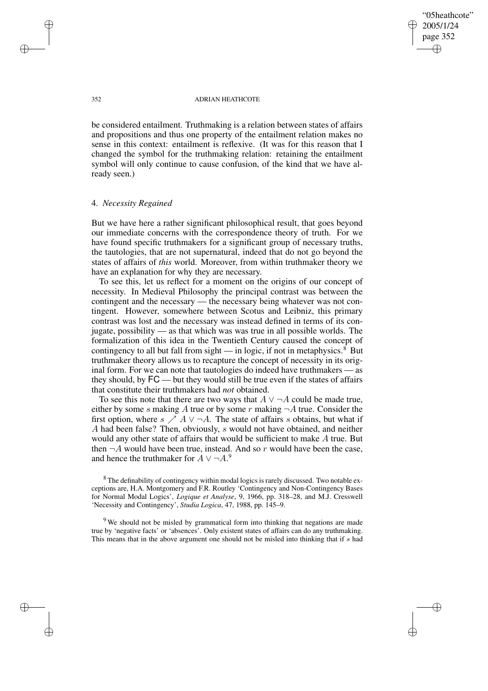"05heathcote" 2005/1/24 page 352 ✐ ✐

✐

✐

#### 352 ADRIAN HEATHCOTE

be considered entailment. Truthmaking is a relation between states of affairs and propositions and thus one property of the entailment relation makes no sense in this context: entailment is reflexive. (It was for this reason that I changed the symbol for the truthmaking relation: retaining the entailment symbol will only continue to cause confusion, of the kind that we have already seen.)

## 4. *Necessity Regained*

But we have here a rather significant philosophical result, that goes beyond our immediate concerns with the correspondence theory of truth. For we have found specific truthmakers for a significant group of necessary truths, the tautologies, that are not supernatural, indeed that do not go beyond the states of affairs of *this* world. Moreover, from within truthmaker theory we have an explanation for why they are necessary.

To see this, let us reflect for a moment on the origins of our concept of necessity. In Medieval Philosophy the principal contrast was between the contingent and the necessary — the necessary being whatever was not contingent. However, somewhere between Scotus and Leibniz, this primary contrast was lost and the necessary was instead defined in terms of its conjugate, possibility — as that which was was true in all possible worlds. The formalization of this idea in the Twentieth Century caused the concept of contingency to all but fall from sight  $-$  in logic, if not in metaphysics.<sup>8</sup> But truthmaker theory allows us to recapture the concept of necessity in its original form. For we can note that tautologies do indeed have truthmakers — as they should, by FC — but they would still be true even if the states of affairs that constitute their truthmakers had *not* obtained.

To see this note that there are two ways that  $A \vee \neg A$  could be made true, either by some s making A true or by some r making  $\neg A$  true. Consider the first option, where  $s \nearrow A \lor \neg A$ . The state of affairs s obtains, but what if A had been false? Then, obviously, s would not have obtained, and neither would any other state of affairs that would be sufficient to make A true. But then  $\neg A$  would have been true, instead. And so r would have been the case, and hence the truthmaker for  $A \vee \neg A$ .<sup>9</sup>

✐

✐

✐

<sup>&</sup>lt;sup>8</sup> The definability of contingency within modal logics is rarely discussed. Two notable exceptions are, H.A. Montgomery and F.R. Routley 'Contingency and Non-Contingency Bases for Normal Modal Logics', *Logique et Analyse*, 9, 1966, pp. 318–28, and M.J. Cresswell 'Necessity and Contingency', *Studia Logica*, 47, 1988, pp. 145–9.

<sup>&</sup>lt;sup>9</sup> We should not be misled by grammatical form into thinking that negations are made true by 'negative facts' or 'absences'. Only existent states of affairs can do any truthmaking. This means that in the above argument one should not be misled into thinking that if s had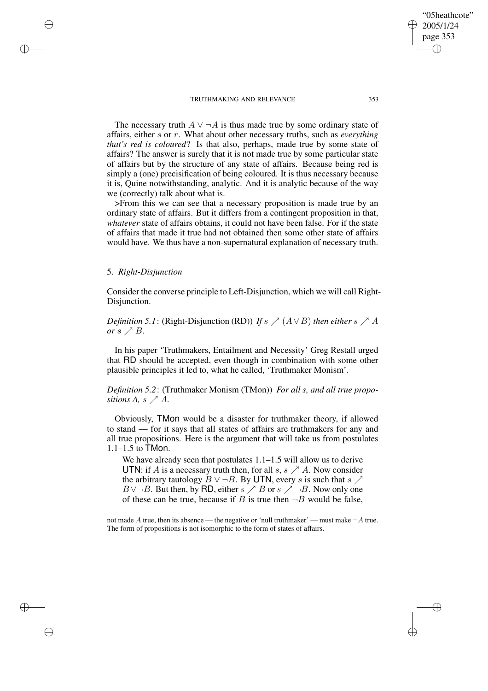The necessary truth  $A \vee \neg A$  is thus made true by some ordinary state of affairs, either s or r. What about other necessary truths, such as *everything that's red is coloured*? Is that also, perhaps, made true by some state of affairs? The answer is surely that it is not made true by some particular state of affairs but by the structure of any state of affairs. Because being red is simply a (one) precisification of being coloured. It is thus necessary because it is, Quine notwithstanding, analytic. And it is analytic because of the way we (correctly) talk about what is.

>From this we can see that a necessary proposition is made true by an ordinary state of affairs. But it differs from a contingent proposition in that, *whatever* state of affairs obtains, it could not have been false. For if the state of affairs that made it true had not obtained then some other state of affairs would have. We thus have a non-supernatural explanation of necessary truth.

## 5. *Right-Disjunction*

✐

✐

✐

✐

Consider the converse principle to Left-Disjunction, which we will call Right-Disiunction.

*Definition* 5.1: (Right-Disjunction (RD)) *If*  $s \nearrow (A \lor B)$  *then either*  $s \nearrow A$ *or*  $s \nearrow B$ *.* 

In his paper 'Truthmakers, Entailment and Necessity' Greg Restall urged that RD should be accepted, even though in combination with some other plausible principles it led to, what he called, 'Truthmaker Monism'.

*Definition 5.2*: (Truthmaker Monism (TMon)) *For all s, and all true propositions*  $A$ *, s*  $\nearrow$   $A$ *.* 

Obviously, TMon would be a disaster for truthmaker theory, if allowed to stand — for it says that all states of affairs are truthmakers for any and all true propositions. Here is the argument that will take us from postulates 1.1–1.5 to TMon.

We have already seen that postulates 1.1–1.5 will allow us to derive UTN: if A is a necessary truth then, for all  $s, s \nearrow A$ . Now consider the arbitrary tautology  $B \vee \neg B$ . By UTN, every s is such that s  $\nearrow$  $B \vee \neg B$ . But then, by RD, either  $s \nearrow B$  or  $s \nearrow \neg B$ . Now only one of these can be true, because if B is true then  $\neg B$  would be false,

not made A true, then its absence — the negative or 'null truthmaker' — must make  $\neg A$  true. The form of propositions is not isomorphic to the form of states of affairs.

"05heathcote" 2005/1/24 page 353

✐

✐

✐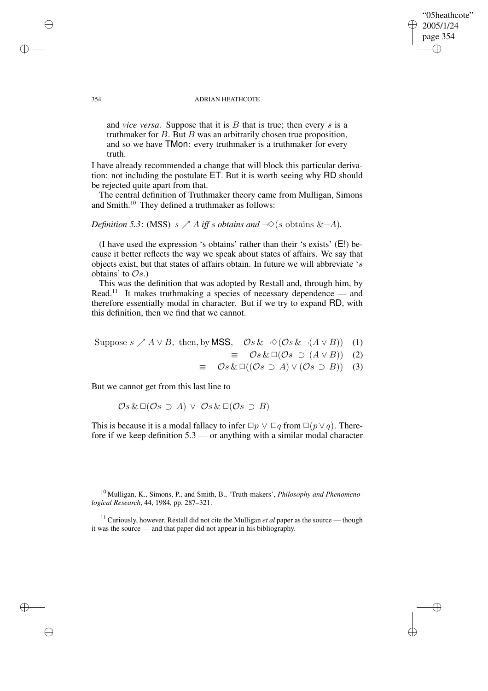and *vice versa*. Suppose that it is B that is true; then every s is a truthmaker for  $B$ . But  $B$  was an arbitrarily chosen true proposition, and so we have TMon: every truthmaker is a truthmaker for every truth.

I have already recommended a change that will block this particular derivation: not including the postulate ET. But it is worth seeing why RD should be rejected quite apart from that.

The central definition of Truthmaker theory came from Mulligan, Simons and Smith.<sup>10</sup> They defined a truthmaker as follows:

*Definition* 5.3: (MSS)  $s \nearrow A$  *iff* s *obtains* and  $\neg \Diamond (s$  obtains  $\& \neg A)$ *.* 

(I have used the expression 's obtains' rather than their 's exists' (E!) because it better reflects the way we speak about states of affairs. We say that objects exist, but that states of affairs obtain. In future we will abbreviate 's obtains' to  $\mathcal{O}_s$ .)

This was the definition that was adopted by Restall and, through him, by Read.<sup>11</sup> It makes truthmaking a species of necessary dependence — and therefore essentially modal in character. But if we try to expand RD, with this definition, then we find that we cannot.

Suppose 
$$
s \nearrow A \lor B
$$
, then, by **MSS**,  $\mathcal{O}s \& \neg \Diamond (\mathcal{O}s \& \neg (A \lor B))$  (1)

 $\equiv$   $\mathcal{O}s \& \Box(\mathcal{O}s \supset (A \vee B))$  (2)

"05heathcote" 2005/1/24 page 354

✐

✐

✐

✐

 $\equiv$   $\mathcal{O}_s \& \Box ((\mathcal{O}_s \supset A) \vee (\mathcal{O}_s \supset B))$  (3)

But we cannot get from this last line to

$$
\mathcal{O}s \& \Box(\mathcal{O}s \supset A) \vee \mathcal{O}s \& \Box(\mathcal{O}s \supset B)
$$

This is because it is a modal fallacy to infer  $\Box p \lor \Box q$  from  $\Box (p \lor q)$ . Therefore if we keep definition 5.3 — or anything with a similar modal character

<sup>10</sup> Mulligan, K., Simons, P., and Smith, B., 'Truth-makers', *Philosophy and Phenomenological Research*, 44, 1984, pp. 287–321.

<sup>11</sup> Curiously, however, Restall did not cite the Mulligan *et al* paper as the source — though it was the source — and that paper did not appear in his bibliography.

✐

✐

✐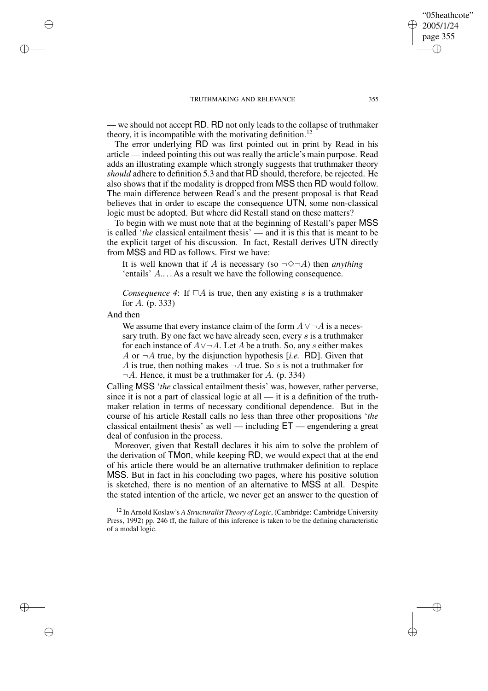— we should not accept RD. RD not only leads to the collapse of truthmaker theory, it is incompatible with the motivating definition.<sup>12</sup>

The error underlying RD was first pointed out in print by Read in his article — indeed pointing this out was really the article's main purpose. Read adds an illustrating example which strongly suggests that truthmaker theory *should* adhere to definition 5.3 and that RD should, therefore, be rejected. He also shows that if the modality is dropped from MSS then RD would follow. The main difference between Read's and the present proposal is that Read believes that in order to escape the consequence UTN, some non-classical logic must be adopted. But where did Restall stand on these matters?

To begin with we must note that at the beginning of Restall's paper MSS is called '*the* classical entailment thesis' — and it is this that is meant to be the explicit target of his discussion. In fact, Restall derives UTN directly from MSS and RD as follows. First we have:

It is well known that if A is necessary (so  $\neg \Diamond \neg A$ ) then *anything* 'entails' A.. . . As a result we have the following consequence.

*Consequence* 4: If  $\Box A$  is true, then any existing s is a truthmaker for A. (p. 333)

And then

✐

✐

✐

✐

We assume that every instance claim of the form  $A \vee \neg A$  is a necessary truth. By one fact we have already seen, every  $s$  is a truthmaker for each instance of  $A \lor \neg A$ . Let A be a truth. So, any s either makes A or  $\neg A$  true, by the disjunction hypothesis [*i.e.* RD]. Given that A is true, then nothing makes  $\neg A$  true. So s is not a truthmaker for  $\neg A$ . Hence, it must be a truthmaker for A. (p. 334)

Calling MSS '*the* classical entailment thesis' was, however, rather perverse, since it is not a part of classical logic at all  $-$  it is a definition of the truthmaker relation in terms of necessary conditional dependence. But in the course of his article Restall calls no less than three other propositions '*the* classical entailment thesis' as well — including ET — engendering a great deal of confusion in the process.

Moreover, given that Restall declares it his aim to solve the problem of the derivation of TMon, while keeping RD, we would expect that at the end of his article there would be an alternative truthmaker definition to replace MSS. But in fact in his concluding two pages, where his positive solution is sketched, there is no mention of an alternative to MSS at all. Despite the stated intention of the article, we never get an answer to the question of

<sup>12</sup> In Arnold Koslaw's *A Structuralist Theory of Logic*, (Cambridge: Cambridge University Press, 1992) pp. 246 ff, the failure of this inference is taken to be the defining characteristic of a modal logic.

"05heathcote" 2005/1/24 page 355

✐

✐

✐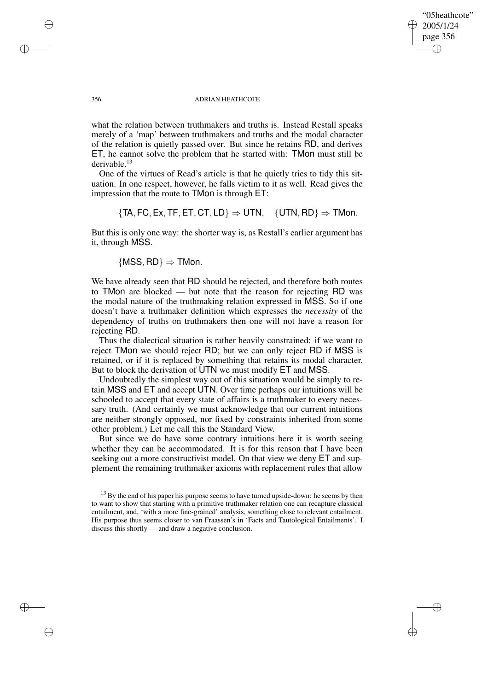"05heathcote" 2005/1/24 page 356

✐

✐

✐

✐

what the relation between truthmakers and truths is. Instead Restall speaks merely of a 'map' between truthmakers and truths and the modal character of the relation is quietly passed over. But since he retains RD, and derives ET, he cannot solve the problem that he started with: TMon must still be derivable.<sup>13</sup>

One of the virtues of Read's article is that he quietly tries to tidy this situation. In one respect, however, he falls victim to it as well. Read gives the impression that the route to TMon is through ET:

 ${TR, FC, Ex, TF, ET, CT, LD} \Rightarrow UTN, {UTN, RD} \Rightarrow TMon.$ 

But this is only one way: the shorter way is, as Restall's earlier argument has it, through MSS.

 ${MSS, RD} \Rightarrow TMon.$ 

We have already seen that RD should be rejected, and therefore both routes to TMon are blocked — but note that the reason for rejecting RD was the modal nature of the truthmaking relation expressed in MSS. So if one doesn't have a truthmaker definition which expresses the *necessity* of the dependency of truths on truthmakers then one will not have a reason for rejecting RD.

Thus the dialectical situation is rather heavily constrained: if we want to reject TMon we should reject RD; but we can only reject RD if MSS is retained, or if it is replaced by something that retains its modal character. But to block the derivation of UTN we must modify ET and MSS.

Undoubtedly the simplest way out of this situation would be simply to retain MSS and ET and accept UTN. Over time perhaps our intuitions will be schooled to accept that every state of affairs is a truthmaker to every necessary truth. (And certainly we must acknowledge that our current intuitions are neither strongly opposed, nor fixed by constraints inherited from some other problem.) Let me call this the Standard View.

But since we do have some contrary intuitions here it is worth seeing whether they can be accommodated. It is for this reason that I have been seeking out a more constructivist model. On that view we deny ET and supplement the remaining truthmaker axioms with replacement rules that allow

✐

✐

✐

 $13$  By the end of his paper his purpose seems to have turned upside-down: he seems by then to want to show that starting with a primitive truthmaker relation one can recapture classical entailment, and, 'with a more fine-grained' analysis, something close to relevant entailment. His purpose thus seems closer to van Fraassen's in 'Facts and Tautological Entailments'. I discuss this shortly — and draw a negative conclusion.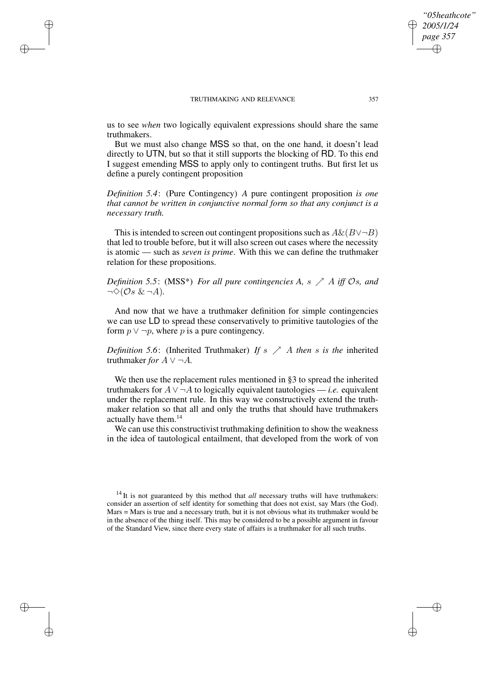✐

✐

✐

✐

us to see *when* two logically equivalent expressions should share the same truthmakers.

But we must also change MSS so that, on the one hand, it doesn't lead directly to UTN, but so that it still supports the blocking of RD. To this end I suggest emending MSS to apply only to contingent truths. But first let us define a purely contingent proposition

*Definition 5.4*: (Pure Contingency) *A* pure contingent proposition *is one that cannot be written in conjunctive normal form so that any conjunct is a necessary truth.*

This is intended to screen out contingent propositions such as  $A\&(B\vee\neg B)$ that led to trouble before, but it will also screen out cases where the necessity is atomic — such as *seven is prime*. With this we can define the truthmaker relation for these propositions.

*Definition* 5.5: (MSS\*) *For all pure contingencies A,* s  $\nearrow$  *A iff*  $\mathcal{O}s$ *, and*  $\neg \Diamond (\mathcal{O}s \& \neg A).$ 

And now that we have a truthmaker definition for simple contingencies we can use LD to spread these conservatively to primitive tautologies of the form  $p \vee \neg p$ , where p is a pure contingency.

*Definition* 5.6: (Inherited Truthmaker) *If* s  $\nearrow$  *A then* s *is the* inherited truthmaker *for*  $A \vee \neg A$ .

We then use the replacement rules mentioned in §3 to spread the inherited truthmakers for  $A \vee \neg A$  to logically equivalent tautologies — *i.e.* equivalent under the replacement rule. In this way we constructively extend the truthmaker relation so that all and only the truths that should have truthmakers actually have them.<sup>14</sup>

We can use this constructivist truthmaking definition to show the weakness in the idea of tautological entailment, that developed from the work of von

*"05heathcote" 2005/1/24 page 357*

✐

✐

✐

<sup>&</sup>lt;sup>14</sup> It is not guaranteed by this method that *all* necessary truths will have truthmakers: consider an assertion of self identity for something that does not exist, say Mars (the God). Mars = Mars is true and a necessary truth, but it is not obvious what its truthmaker would be in the absence of the thing itself. This may be considered to be a possible argument in favour of the Standard View, since there every state of affairs is a truthmaker for all such truths.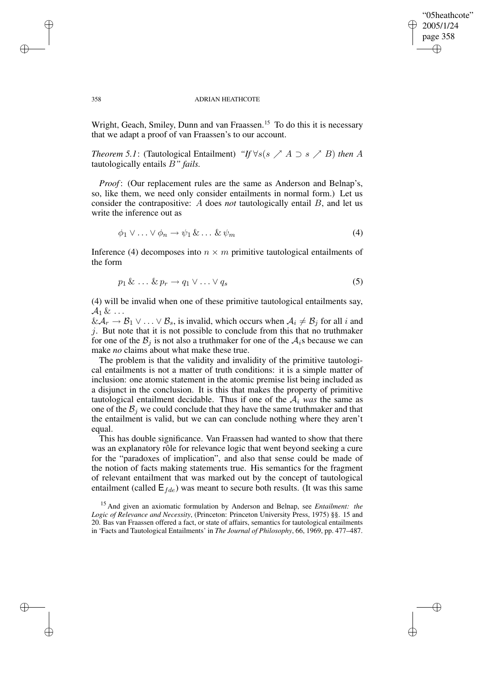## "05heathcote" 2005/1/24 page 358 ✐ ✐

✐

✐

#### 358 ADRIAN HEATHCOTE

Wright, Geach, Smiley, Dunn and van Fraassen.<sup>15</sup> To do this it is necessary that we adapt a proof of van Fraassen's to our account.

*Theorem* 5.1: (Tautological Entailment) *"If*  $\forall s(s \nearrow A \supset s \nearrow B)$  *then* A tautologically entails B*" fails.*

*Proof*: (Our replacement rules are the same as Anderson and Belnap's, so, like them, we need only consider entailments in normal form.) Let us consider the contrapositive: A does *not* tautologically entail B, and let us write the inference out as

$$
\phi_1 \vee \ldots \vee \phi_n \to \psi_1 \& \ldots \& \psi_m \tag{4}
$$

Inference (4) decomposes into  $n \times m$  primitive tautological entailments of the form

$$
p_1 \& \ldots \& p_r \rightarrow q_1 \vee \ldots \vee q_s \tag{5}
$$

(4) will be invalid when one of these primitive tautological entailments say,  $\mathcal{A}_1 \& \ldots$ 

 $& \mathcal{A}_r \to \mathcal{B}_1 \vee \ldots \vee \mathcal{B}_s$ , is invalid, which occurs when  $\mathcal{A}_i \neq \mathcal{B}_j$  for all i and j. But note that it is not possible to conclude from this that no truthmaker for one of the  $\mathcal{B}_i$  is not also a truthmaker for one of the  $\mathcal{A}_i$ s because we can make *no* claims about what make these true.

The problem is that the validity and invalidity of the primitive tautological entailments is not a matter of truth conditions: it is a simple matter of inclusion: one atomic statement in the atomic premise list being included as a disjunct in the conclusion. It is this that makes the property of primitive tautological entailment decidable. Thus if one of the  $A_i$  *was* the same as one of the  $B_i$  we could conclude that they have the same truthmaker and that the entailment is valid, but we can can conclude nothing where they aren't equal.

This has double significance. Van Fraassen had wanted to show that there was an explanatory rôle for relevance logic that went beyond seeking a cure for the "paradoxes of implication", and also that sense could be made of the notion of facts making statements true. His semantics for the fragment of relevant entailment that was marked out by the concept of tautological entailment (called  $E_{fde}$ ) was meant to secure both results. (It was this same

<sup>15</sup> And given an axiomatic formulation by Anderson and Belnap, see *Entailment: the Logic of Relevance and Necessity*, (Princeton: Princeton University Press, 1975) §§. 15 and 20. Bas van Fraassen offered a fact, or state of affairs, semantics for tautological entailments in 'Facts and Tautological Entailments' in *The Journal of Philosophy*, 66, 1969, pp. 477–487.

✐

✐

✐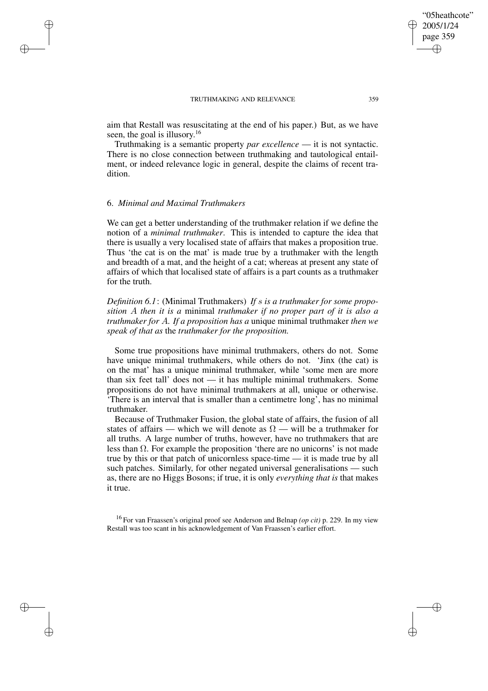aim that Restall was resuscitating at the end of his paper.) But, as we have seen, the goal is illusory.<sup>16</sup>

Truthmaking is a semantic property *par excellence* — it is not syntactic. There is no close connection between truthmaking and tautological entailment, or indeed relevance logic in general, despite the claims of recent tradition.

## 6. *Minimal and Maximal Truthmakers*

✐

✐

✐

✐

We can get a better understanding of the truthmaker relation if we define the notion of a *minimal truthmaker*. This is intended to capture the idea that there is usually a very localised state of affairs that makes a proposition true. Thus 'the cat is on the mat' is made true by a truthmaker with the length and breadth of a mat, and the height of a cat; whereas at present any state of affairs of which that localised state of affairs is a part counts as a truthmaker for the truth.

*Definition 6.1*: (Minimal Truthmakers) *If* s *is a truthmaker for some proposition* A *then it is a* minimal *truthmaker if no proper part of it is also a truthmaker for* A*. If a proposition has a* unique minimal truthmaker *then we speak of that as* the *truthmaker for the proposition.*

Some true propositions have minimal truthmakers, others do not. Some have unique minimal truthmakers, while others do not. 'Jinx (the cat) is on the mat' has a unique minimal truthmaker, while 'some men are more than six feet tall' does not — it has multiple minimal truthmakers. Some propositions do not have minimal truthmakers at all, unique or otherwise. 'There is an interval that is smaller than a centimetre long', has no minimal truthmaker.

Because of Truthmaker Fusion, the global state of affairs, the fusion of all states of affairs — which we will denote as  $\Omega$  — will be a truthmaker for all truths. A large number of truths, however, have no truthmakers that are less than Ω. For example the proposition 'there are no unicorns' is not made true by this or that patch of unicornless space-time — it is made true by all such patches. Similarly, for other negated universal generalisations — such as, there are no Higgs Bosons; if true, it is only *everything that is* that makes it true.

<sup>16</sup> For van Fraassen's original proof see Anderson and Belnap *(op cit)* p. 229. In my view Restall was too scant in his acknowledgement of Van Fraassen's earlier effort.

"05heathcote" 2005/1/24 page 359

✐

✐

✐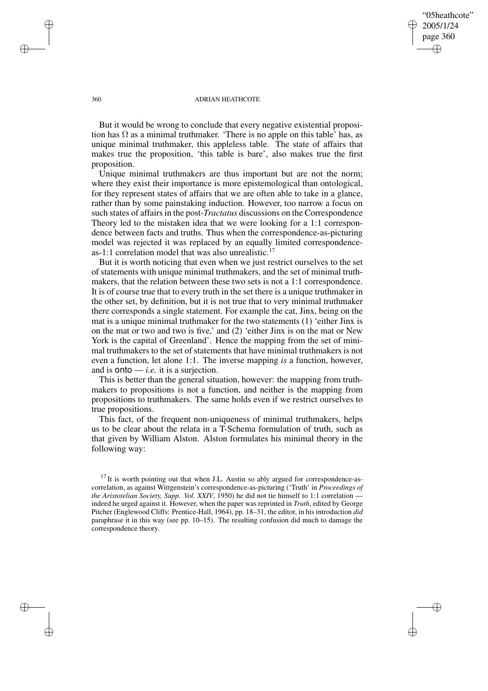## "05heathcote" 2005/1/24 page 360 ✐ ✐

✐

✐

#### 360 ADRIAN HEATHCOTE

But it would be wrong to conclude that every negative existential proposition has  $\Omega$  as a minimal truthmaker. 'There is no apple on this table' has, as unique minimal truthmaker, this appleless table. The state of affairs that makes true the proposition, 'this table is bare', also makes true the first proposition.

Unique minimal truthmakers are thus important but are not the norm; where they exist their importance is more epistemological than ontological, for they represent states of affairs that we are often able to take in a glance, rather than by some painstaking induction. However, too narrow a focus on such states of affairs in the post-*Tractatus* discussions on the Correspondence Theory led to the mistaken idea that we were looking for a 1:1 correspondence between facts and truths. Thus when the correspondence-as-picturing model was rejected it was replaced by an equally limited correspondenceas-1:1 correlation model that was also unrealistic.<sup>17</sup>

But it is worth noticing that even when we just restrict ourselves to the set of statements with unique minimal truthmakers, and the set of minimal truthmakers, that the relation between these two sets is not a 1:1 correspondence. It is of course true that to every truth in the set there is a unique truthmaker in the other set, by definition, but it is not true that to very minimal truthmaker there corresponds a single statement. For example the cat, Jinx, being on the mat is a unique minimal truthmaker for the two statements (1) 'either Jinx is on the mat or two and two is five,' and (2) 'either Jinx is on the mat or New York is the capital of Greenland'. Hence the mapping from the set of minimal truthmakers to the set of statements that have minimal truthmakers is not even a function, let alone 1:1. The inverse mapping *is* a function, however, and is  $onto - i.e.$  it is a surjection.

This is better than the general situation, however: the mapping from truthmakers to propositions is not a function, and neither is the mapping from propositions to truthmakers. The same holds even if we restrict ourselves to true propositions.

This fact, of the frequent non-uniqueness of minimal truthmakers, helps us to be clear about the relata in a T-Schema formulation of truth, such as that given by William Alston. Alston formulates his minimal theory in the following way:

✐

✐

✐

 $17$  It is worth pointing out that when J.L. Austin so ably argued for correspondence-ascorrelation, as against Wittgenstein's correspondence-as-picturing ('Truth' in *Proceedings of the Aristotelian Society, Supp. Vol. XXIV*, 1950) he did not tie himself to 1:1 correlation indeed he urged against it. However, when the paper was reprinted in *Truth*, edited by George Pitcher (Englewood Cliffs: Prentice-Hall, 1964), pp. 18–31, the editor, in his introduction *did* paraphrase it in this way (see pp. 10–15). The resulting confusion did much to damage the correspondence theory.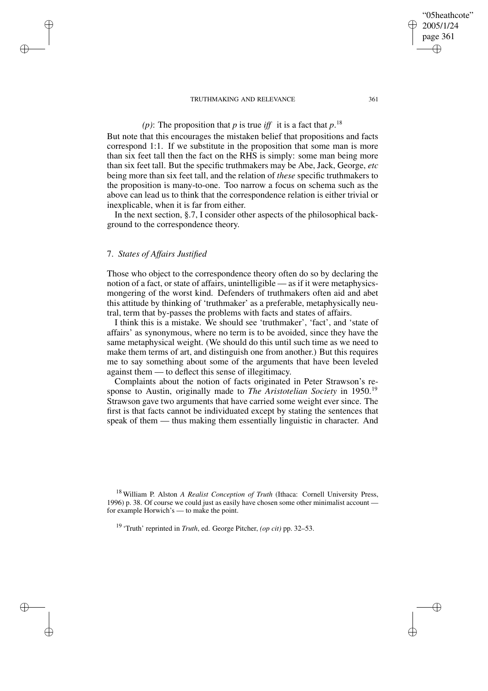# (*p*): The proposition that *p* is true *iff* it is a fact that  $p$ <sup>18</sup>

But note that this encourages the mistaken belief that propositions and facts correspond 1:1. If we substitute in the proposition that some man is more than six feet tall then the fact on the RHS is simply: some man being more than six feet tall. But the specific truthmakers may be Abe, Jack, George, *etc* being more than six feet tall, and the relation of *these* specific truthmakers to the proposition is many-to-one. Too narrow a focus on schema such as the above can lead us to think that the correspondence relation is either trivial or inexplicable, when it is far from either.

In the next section, §.7, I consider other aspects of the philosophical background to the correspondence theory.

## 7. *States of Affairs Justified*

✐

✐

✐

✐

Those who object to the correspondence theory often do so by declaring the notion of a fact, or state of affairs, unintelligible — as if it were metaphysicsmongering of the worst kind. Defenders of truthmakers often aid and abet this attitude by thinking of 'truthmaker' as a preferable, metaphysically neutral, term that by-passes the problems with facts and states of affairs.

I think this is a mistake. We should see 'truthmaker', 'fact', and 'state of affairs' as synonymous, where no term is to be avoided, since they have the same metaphysical weight. (We should do this until such time as we need to make them terms of art, and distinguish one from another.) But this requires me to say something about some of the arguments that have been leveled against them — to deflect this sense of illegitimacy.

Complaints about the notion of facts originated in Peter Strawson's response to Austin, originally made to *The Aristotelian Society* in 1950.<sup>19</sup> Strawson gave two arguments that have carried some weight ever since. The first is that facts cannot be individuated except by stating the sentences that speak of them — thus making them essentially linguistic in character. And

<sup>18</sup> William P. Alston *A Realist Conception of Truth* (Ithaca: Cornell University Press, 1996) p. 38. Of course we could just as easily have chosen some other minimalist account for example Horwich's — to make the point.

<sup>19</sup> 'Truth' reprinted in *Truth*, ed. George Pitcher, *(op cit)* pp. 32–53.

"05heathcote" 2005/1/24 page 361

✐

✐

✐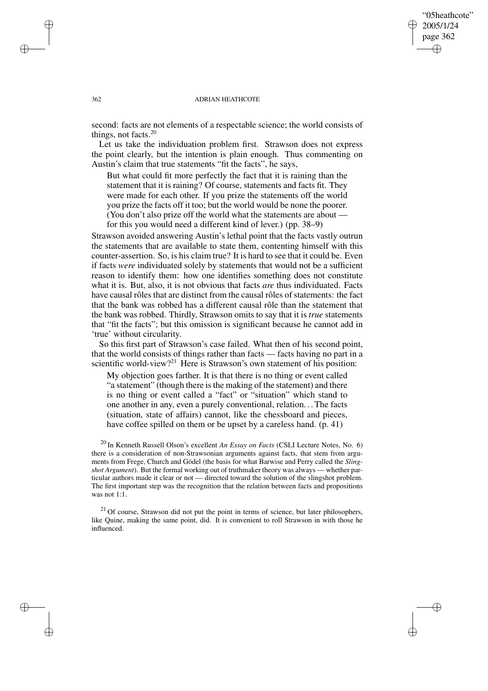## "05heathcote" 2005/1/24 page 362 ✐ ✐

✐

✐

#### 362 ADRIAN HEATHCOTE

second: facts are not elements of a respectable science; the world consists of things, not facts.<sup>20</sup>

Let us take the individuation problem first. Strawson does not express the point clearly, but the intention is plain enough. Thus commenting on Austin's claim that true statements "fit the facts", he says,

But what could fit more perfectly the fact that it is raining than the statement that it is raining? Of course, statements and facts fit. They were made for each other. If you prize the statements off the world you prize the facts off it too; but the world would be none the poorer. (You don't also prize off the world what the statements are about for this you would need a different kind of lever.) (pp. 38–9)

Strawson avoided answering Austin's lethal point that the facts vastly outrun the statements that are available to state them, contenting himself with this counter-assertion. So, is his claim true? It is hard to see that it could be. Even if facts *were* individuated solely by statements that would not be a sufficient reason to identify them: how one identifies something does not constitute what it is. But, also, it is not obvious that facts *are* thus individuated. Facts have causal rôles that are distinct from the causal rôles of statements: the fact that the bank was robbed has a different causal rôle than the statement that the bank was robbed. Thirdly, Strawson omits to say that it is *true* statements that "fit the facts"; but this omission is significant because he cannot add in 'true' without circularity.

So this first part of Strawson's case failed. What then of his second point, that the world consists of things rather than facts — facts having no part in a scientific world-view?<sup>21</sup> Here is Strawson's own statement of his position:

My objection goes farther. It is that there is no thing or event called "a statement" (though there is the making of the statement) and there is no thing or event called a "fact" or "situation" which stand to one another in any, even a purely conventional, relation. . .The facts (situation, state of affairs) cannot, like the chessboard and pieces, have coffee spilled on them or be upset by a careless hand. (p. 41)

<sup>20</sup> In Kenneth Russell Olson's excellent *An Essay on Facts* (CSLI Lecture Notes, No. 6) there is a consideration of non-Strawsonian arguments against facts, that stem from arguments from Frege, Church and Gödel (the basis for what Barwise and Perry called the *Slingshot Argument*). But the formal working out of truthmaker theory was always — whether particular authors made it clear or not — directed toward the solution of the slingshot problem. The first important step was the recognition that the relation between facts and propositions was not 1:1.

 $21$  Of course, Strawson did not put the point in terms of science, but later philosophers, like Quine, making the same point, did. It is convenient to roll Strawson in with those he influenced.

✐

✐

✐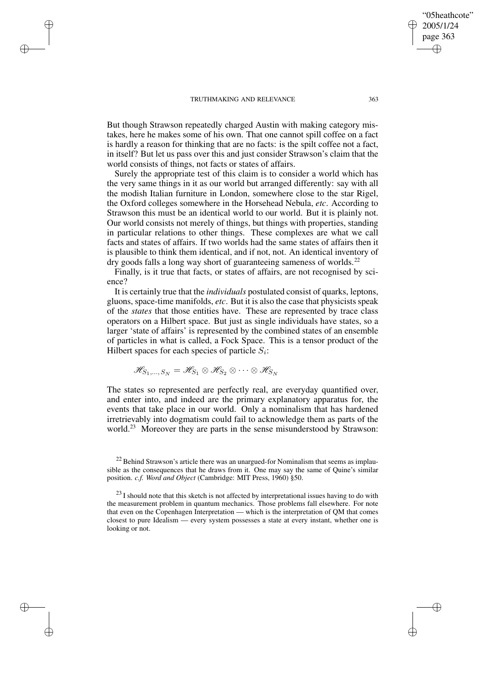✐

✐

✐

✐

But though Strawson repeatedly charged Austin with making category mistakes, here he makes some of his own. That one cannot spill coffee on a fact is hardly a reason for thinking that are no facts: is the spilt coffee not a fact, in itself? But let us pass over this and just consider Strawson's claim that the world consists of things, not facts or states of affairs.

Surely the appropriate test of this claim is to consider a world which has the very same things in it as our world but arranged differently: say with all the modish Italian furniture in London, somewhere close to the star Rigel, the Oxford colleges somewhere in the Horsehead Nebula, *etc*. According to Strawson this must be an identical world to our world. But it is plainly not. Our world consists not merely of things, but things with properties, standing in particular relations to other things. These complexes are what we call facts and states of affairs. If two worlds had the same states of affairs then it is plausible to think them identical, and if not, not. An identical inventory of dry goods falls a long way short of guaranteeing sameness of worlds.<sup>22</sup>

Finally, is it true that facts, or states of affairs, are not recognised by science?

It is certainly true that the *individuals* postulated consist of quarks, leptons, gluons, space-time manifolds, *etc*. But it is also the case that physicists speak of the *states* that those entities have. These are represented by trace class operators on a Hilbert space. But just as single individuals have states, so a larger 'state of affairs' is represented by the combined states of an ensemble of particles in what is called, a Fock Space. This is a tensor product of the Hilbert spaces for each species of particle  $S_i$ :

$$
\mathscr{H}_{S_1,\ldots,S_N}=\mathscr{H}_{S_1}\otimes\mathscr{H}_{S_2}\otimes\cdots\otimes\mathscr{H}_{S_N}
$$

The states so represented are perfectly real, are everyday quantified over, and enter into, and indeed are the primary explanatory apparatus for, the events that take place in our world. Only a nominalism that has hardened irretrievably into dogmatism could fail to acknowledge them as parts of the world.<sup>23</sup> Moreover they are parts in the sense misunderstood by Strawson:

"05heathcote" 2005/1/24 page 363

✐

✐

✐

 $22$  Behind Strawson's article there was an unargued-for Nominalism that seems as implausible as the consequences that he draws from it. One may say the same of Quine's similar position. *c.f. Word and Object* (Cambridge: MIT Press, 1960) §50.

 $^{23}$  I should note that this sketch is not affected by interpretational issues having to do with the measurement problem in quantum mechanics. Those problems fall elsewhere. For note that even on the Copenhagen Interpretation — which is the interpretation of QM that comes closest to pure Idealism — every system possesses a state at every instant, whether one is looking or not.